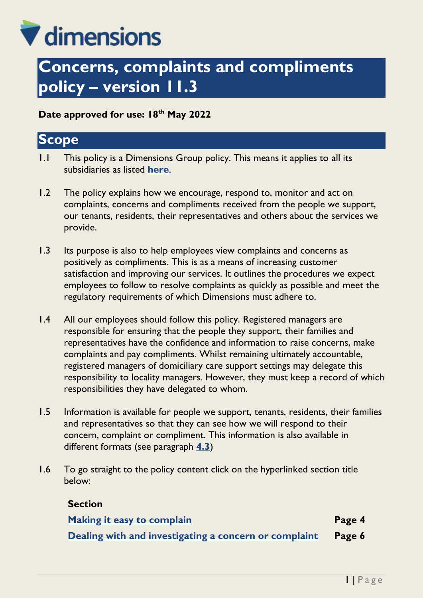# V dimensions

# **Concerns, complaints and compliments policy – version 11.3**

**Date approved for use: 18th May 2022**

### **Scope**

- 1.1 This policy is a Dimensions Group policy. This means it applies to all its subsidiaries as listed **[here](https://dimensionsuklimited.sharepoint.com/:b:/r/sites/intranet/Shared%20Documents/_DTMS%20Document%20Library/Policies/Governance/Dimensions%20Group%20company%20information.pdf?csf=1&web=1&e=67AQCl)**.
- 1.2 The policy explains how we encourage, respond to, monitor and act on complaints, concerns and compliments received from the people we support, our tenants, residents, their representatives and others about the services we provide.
- 1.3 Its purpose is also to help employees view complaints and concerns as positively as compliments. This is as a means of increasing customer satisfaction and improving our services. It outlines the procedures we expect employees to follow to resolve complaints as quickly as possible and meet the regulatory requirements of which Dimensions must adhere to.
- 1.4 All our employees should follow this policy. Registered managers are responsible for ensuring that the people they support, their families and representatives have the confidence and information to raise concerns, make complaints and pay compliments. Whilst remaining ultimately accountable, registered managers of domiciliary care support settings may delegate this responsibility to locality managers. However, they must keep a record of which responsibilities they have delegated to whom.
- 1.5 Information is available for people we support, tenants, residents, their families and representatives so that they can see how we will respond to their concern, complaint or compliment. This information is also available in different formats (see paragraph **[4.3](#page-4-0)**)
- 1.6 To go straight to the policy content click on the hyperlinked section title below:

#### **Section**

| Making it easy to complain                                   | Page 4 |
|--------------------------------------------------------------|--------|
| Dealing with and investigating a concern or complaint Page 6 |        |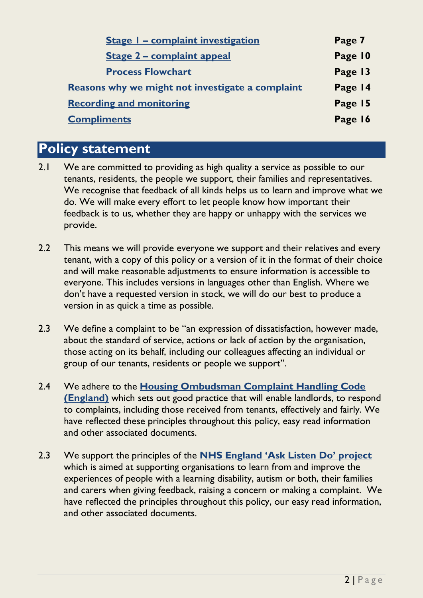| <b>Stage I - complaint investigation</b>         | Page 7  |
|--------------------------------------------------|---------|
| <b>Stage 2 - complaint appeal</b>                | Page 10 |
| <b>Process Flowchart</b>                         | Page 13 |
| Reasons why we might not investigate a complaint | Page 14 |
| <b>Recording and monitoring</b>                  | Page 15 |
| <b>Compliments</b>                               | Page 16 |
|                                                  |         |

# **Policy statement**

- 2.1 We are committed to providing as high quality a service as possible to our tenants, residents, the people we support, their families and representatives. We recognise that feedback of all kinds helps us to learn and improve what we do. We will make every effort to let people know how important their feedback is to us, whether they are happy or unhappy with the services we provide.
- 2.2 This means we will provide everyone we support and their relatives and every tenant, with a copy of this policy or a version of it in the format of their choice and will make reasonable adjustments to ensure information is accessible to everyone. This includes versions in languages other than English. Where we don't have a requested version in stock, we will do our best to produce a version in as quick a time as possible.
- 2.3 We define a complaint to be "an expression of dissatisfaction, however made, about the standard of service, actions or lack of action by the organisation, those acting on its behalf, including our colleagues affecting an individual or group of our tenants, residents or people we support".
- 2.4 We adhere to the **[Housing Ombudsman Complaint Handling Code](https://www.housing-ombudsman.org.uk/landlords-info/complaint-handling-code/)  [\(England\)](https://www.housing-ombudsman.org.uk/landlords-info/complaint-handling-code/)** which sets out good practice that will enable landlords, to respond to complaints, including those received from tenants, effectively and fairly. We have reflected these principles throughout this policy, easy read information and other associated documents.
- 2.3 We support the principles of the **[NHS England 'Ask Listen Do'](https://www.england.nhs.uk/learning-disabilities/about/ask-listen-do/) project** which is aimed at supporting organisations to learn from and improve the experiences of people with a learning disability, autism or both, their families and carers when giving feedback, raising a concern or making a complaint. We have reflected the principles throughout this policy, our easy read information, and other associated documents.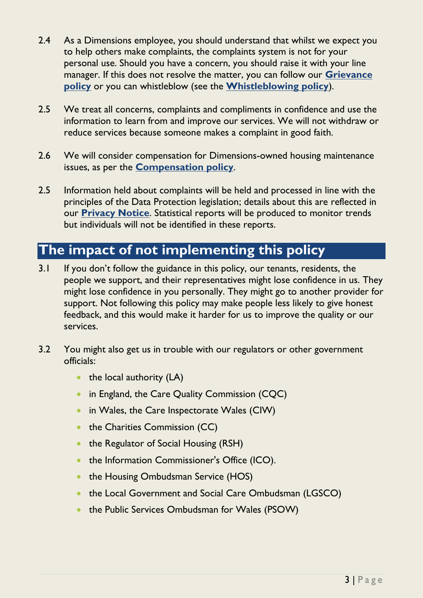- 2.4 As a Dimensions employee, you should understand that whilst we expect you to help others make complaints, the complaints system is not for your personal use. Should you have a concern, you should raise it with your line manager. If this does not resolve the matter, you can follow our **[Grievance](https://dimensionsuklimited.sharepoint.com/:b:/r/sites/intranet/Shared%20Documents/_DTMS%20Document%20Library/Policies/Colleagues%27%20behaviour%20and%20performance/Grievance/Grievance%20policy.pdf?csf=1&web=1&e=Eay2Ua)  [policy](https://dimensionsuklimited.sharepoint.com/:b:/r/sites/intranet/Shared%20Documents/_DTMS%20Document%20Library/Policies/Colleagues%27%20behaviour%20and%20performance/Grievance/Grievance%20policy.pdf?csf=1&web=1&e=Eay2Ua)** or you can whistleblow (see the **[Whistleblowing policy](https://dimensionsuklimited.sharepoint.com/:b:/r/sites/intranet/Shared%20Documents/_DTMS%20Document%20Library/Policies/Colleagues%27%20behaviour%20and%20performance/Whistleblowing/Whistleblowing%20policy.pdf?csf=1&web=1&e=lM71cG)**).
- 2.5 We treat all concerns, complaints and compliments in confidence and use the information to learn from and improve our services. We will not withdraw or reduce services because someone makes a complaint in good faith.
- 2.6 We will consider compensation for Dimensions-owned housing maintenance issues, as per the **[Compensation policy](https://dimensionsuklimited.sharepoint.com/:b:/r/sites/intranet/Shared%20Documents/_DTMS%20Document%20Library/Policies/Housing/Compensation/Compensation%20policy.pdf?csf=1&web=1&e=dolfSe)**.
- 2.5 Information held about complaints will be held and processed in line with the principles of the Data Protection legislation; details about this are reflected in our **[Privacy Notice](https://dimensions-uk.org/wp-content/uploads/Privacy-notice-for-complaints-and-compliments.pdf)**. Statistical reports will be produced to monitor trends but individuals will not be identified in these reports.

# **The impact of not implementing this policy**

- 3.1 If you don't follow the guidance in this policy, our tenants, residents, the people we support, and their representatives might lose confidence in us. They might lose confidence in you personally. They might go to another provider for support. Not following this policy may make people less likely to give honest feedback, and this would make it harder for us to improve the quality or our services.
- 3.2 You might also get us in trouble with our regulators or other government officials:
	- $\bullet$  the local authority (LA)
	- in England, the Care Quality Commission (CQC)
	- in Wales, the Care Inspectorate Wales (CIW)
	- the Charities Commission (CC)
	- the Regulator of Social Housing (RSH)
	- the Information Commissioner's Office (ICO).
	- the Housing Ombudsman Service (HOS)
	- the Local Government and Social Care Ombudsman (LGSCO)
	- the Public Services Ombudsman for Wales (PSOW)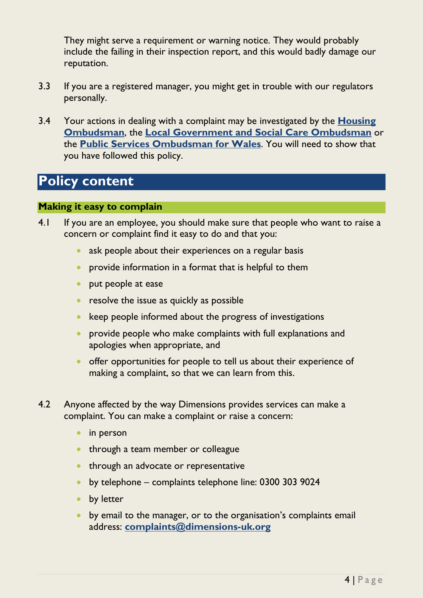They might serve a requirement or warning notice. They would probably include the failing in their inspection report, and this would badly damage our reputation.

- 3.3 If you are a registered manager, you might get in trouble with our regulators personally.
- 3.4 Your actions in dealing with a complaint may be investigated by the **[Housing](https://www.housing-ombudsman.org.uk/landlords-info/complaint-handling-code/)  [Ombudsman](https://www.housing-ombudsman.org.uk/landlords-info/complaint-handling-code/)**, the **Local Government and [Social Care Ombudsman](https://www.lgo.org.uk/)** or the **[Public Services Ombudsman for Wales](http://www.ombudsman-wales.org.uk/)**. You will need to show that you have followed this policy.

# **Policy content**

#### <span id="page-3-0"></span>**Making it easy to complain**

- 4.1 If you are an employee, you should make sure that people who want to raise a concern or complaint find it easy to do and that you:
	- ask people about their experiences on a regular basis
	- provide information in a format that is helpful to them
	- put people at ease
	- resolve the issue as quickly as possible
	- $\bullet$  keep people informed about the progress of investigations
	- **•** provide people who make complaints with full explanations and apologies when appropriate, and
	- offer opportunities for people to tell us about their experience of making a complaint, so that we can learn from this.
- 4.2 Anyone affected by the way Dimensions provides services can make a complaint. You can make a complaint or raise a concern:
	- in person
	- through a team member or colleague
	- **•** through an advocate or representative
	- by telephone complaints telephone line: 0300 303 9024
	- **by letter**
	- **•** by email to the manager, or to the organisation's complaints email address: **[complaints@dimensions-uk.org](mailto:complaints@dimensions-uk.org)**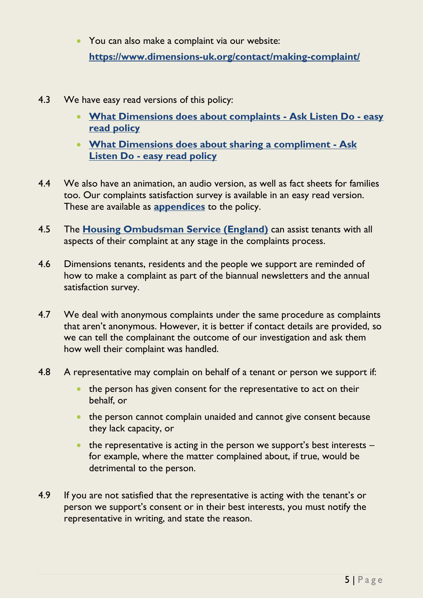- You can also make a complaint via our website: **<https://www.dimensions-uk.org/contact/making-complaint/>**
- <span id="page-4-0"></span>4.3 We have easy read versions of this policy:
	- **[What Dimensions does about complaints -](https://dimensionsuklimited.sharepoint.com/:b:/r/sites/intranet/Shared%20Documents/_DTMS%20Document%20Library/Policies/Communication,%20marketing%20and%20engagement/Concerns,%20complaints%20and%20compliments/What%20Dimensions%20does%20about%20complaints%20-%20Ask%20Listen%20Do%20-%20easy%20read%20policy.pdf?csf=1&web=1&e=nAqOnt) Ask Listen Do - easy [read policy](https://dimensionsuklimited.sharepoint.com/:b:/r/sites/intranet/Shared%20Documents/_DTMS%20Document%20Library/Policies/Communication,%20marketing%20and%20engagement/Concerns,%20complaints%20and%20compliments/What%20Dimensions%20does%20about%20complaints%20-%20Ask%20Listen%20Do%20-%20easy%20read%20policy.pdf?csf=1&web=1&e=nAqOnt)**
	- **[What Dimensions does about sharing a compliment -](https://dimensionsuklimited.sharepoint.com/:b:/r/sites/intranet/Shared%20Documents/_DTMS%20Document%20Library/Policies/Communication,%20marketing%20and%20engagement/Concerns,%20complaints%20and%20compliments/What%20Dimensions%20does%20about%20sharing%20a%20compliment%20-%20Ask%20Listen%20Do%20-%20easy%20read%20policy.pdf?csf=1&web=1&e=00ANkc) Ask Listen Do - [easy read policy](https://dimensionsuklimited.sharepoint.com/:b:/r/sites/intranet/Shared%20Documents/_DTMS%20Document%20Library/Policies/Communication,%20marketing%20and%20engagement/Concerns,%20complaints%20and%20compliments/What%20Dimensions%20does%20about%20sharing%20a%20compliment%20-%20Ask%20Listen%20Do%20-%20easy%20read%20policy.pdf?csf=1&web=1&e=00ANkc)**
- 4.4 We also have an animation, an audio version, as well as fact sheets for families too. Our complaints satisfaction survey is available in an easy read version. These are available as **[appendices](#page-17-0)** to the policy.
- 4.5 The **[Housing Ombudsman Service \(England\)](https://www.housing-ombudsman.org.uk/landlords-info/complaint-handling-code/)** can assist tenants with all aspects of their complaint at any stage in the complaints process.
- 4.6 Dimensions tenants, residents and the people we support are reminded of how to make a complaint as part of the biannual newsletters and the annual satisfaction survey.
- 4.7 We deal with anonymous complaints under the same procedure as complaints that aren't anonymous. However, it is better if contact details are provided, so we can tell the complainant the outcome of our investigation and ask them how well their complaint was handled.
- 4.8 A representative may complain on behalf of a tenant or person we support if:
	- the person has given consent for the representative to act on their behalf, or
	- the person cannot complain unaided and cannot give consent because they lack capacity, or
	- $\bullet$  the representative is acting in the person we support's best interests  $$ for example, where the matter complained about, if true, would be detrimental to the person.
- 4.9 If you are not satisfied that the representative is acting with the tenant's or person we support's consent or in their best interests, you must notify the representative in writing, and state the reason.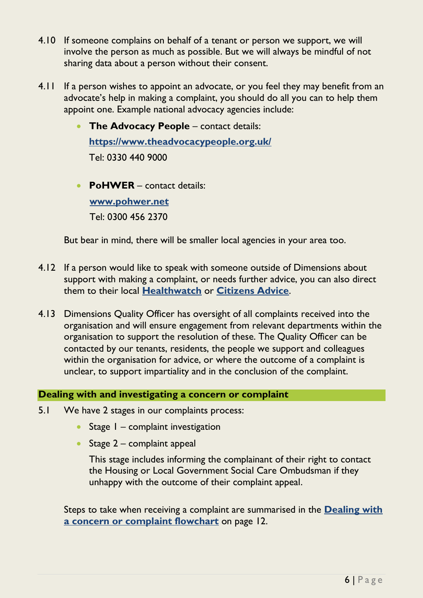- 4.10 If someone complains on behalf of a tenant or person we support, we will involve the person as much as possible. But we will always be mindful of not sharing data about a person without their consent.
- 4.11 If a person wishes to appoint an advocate, or you feel they may benefit from an advocate's help in making a complaint, you should do all you can to help them appoint one. Example national advocacy agencies include:
	- **The Advocacy People** contact details: **<https://www.theadvocacypeople.org.uk/>** Tel: 0330 440 9000
	- **PoHWER** contact details: **[www.pohwer.net](http://www.pohwer.net/)** Tel: 0300 456 2370

But bear in mind, there will be smaller local agencies in your area too.

- 4.12 If a person would like to speak with someone outside of Dimensions about support with making a complaint, or needs further advice, you can also direct them to their local **[Healthwatch](https://www.healthwatch.co.uk/)** or **[Citizens Advice](https://www.citizensadvice.org.uk/)**.
- 4.13 Dimensions Quality Officer has oversight of all complaints received into the organisation and will ensure engagement from relevant departments within the organisation to support the resolution of these. The Quality Officer can be contacted by our tenants, residents, the people we support and colleagues within the organisation for advice, or where the outcome of a complaint is unclear, to support impartiality and in the conclusion of the complaint.

#### <span id="page-5-0"></span>**Dealing with and investigating a concern or complaint**

- 5.1 We have 2 stages in our complaints process:
	- $\bullet$  Stage  $1$  complaint investigation
	- Stage  $2$  complaint appeal

This stage includes informing the complainant of their right to contact the Housing or Local Government Social Care Ombudsman if they unhappy with the outcome of their complaint appeal.

Steps to take when receiving a complaint are summarised in the **[Dealing with](#page-12-0)  [a concern or complaint flowchart](#page-12-0)** on page 12.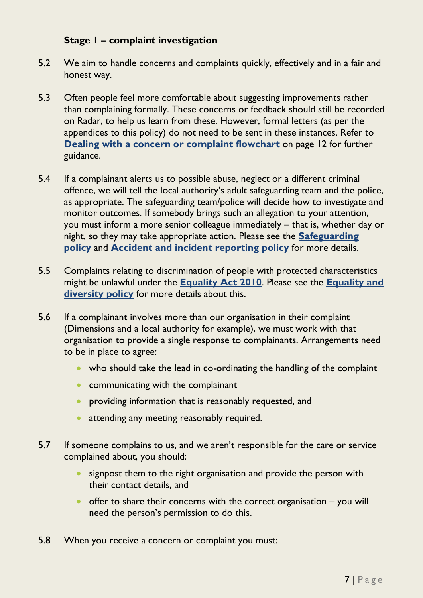#### **Stage 1 – complaint investigation**

- <span id="page-6-0"></span>5.2 We aim to handle concerns and complaints quickly, effectively and in a fair and honest way.
- 5.3 Often people feel more comfortable about suggesting improvements rather than complaining formally. These concerns or feedback should still be recorded on Radar, to help us learn from these. However, formal letters (as per the appendices to this policy) do not need to be sent in these instances. Refer to **[Dealing with a concern or complaint flowchart](#page-12-0)** on page 12 for further guidance.
- 5.4 If a complainant alerts us to possible abuse, neglect or a different criminal offence, we will tell the local authority's adult safeguarding team and the police, as appropriate. The safeguarding team/police will decide how to investigate and monitor outcomes. If somebody brings such an allegation to your attention, you must inform a more senior colleague immediately – that is, whether day or night, so they may take appropriate action. Please see the **[Safeguarding](https://dimensionsuklimited.sharepoint.com/:b:/r/sites/intranet/Shared%20Documents/_DTMS%20Document%20Library/Policies/Health%20and%20Safety/Safeguarding/Safeguarding%20policy.pdf?csf=1&web=1&e=CSS4xQ)  [policy](https://dimensionsuklimited.sharepoint.com/:b:/r/sites/intranet/Shared%20Documents/_DTMS%20Document%20Library/Policies/Health%20and%20Safety/Safeguarding/Safeguarding%20policy.pdf?csf=1&web=1&e=CSS4xQ)** and **[Accident and incident reporting policy](https://dimensionsuklimited.sharepoint.com/:b:/r/sites/intranet/Shared%20Documents/_DTMS%20Document%20Library/Policies/Health%20and%20Safety/Accident%20and%20incident%20reporting/Accident%20and%20incident%20reporting%20policy.pdf?csf=1&web=1&e=bhiZDM)** for more details.
- 5.5 Complaints relating to discrimination of people with protected characteristics might be unlawful under the **[Equality Act 2010](https://www.legislation.gov.uk/ukpga/2010/15/contents)**. Please see the **[Equality and](https://dimensionsuklimited.sharepoint.com/:b:/r/sites/intranet/Shared%20Documents/_DTMS%20Document%20Library/Policies/Colleagues%27%20behaviour%20and%20performance/Equality%20and%20diversity/Equality%20and%20diversity%20policy.pdf?csf=1&web=1&e=jrbjF3)  [diversity policy](https://dimensionsuklimited.sharepoint.com/:b:/r/sites/intranet/Shared%20Documents/_DTMS%20Document%20Library/Policies/Colleagues%27%20behaviour%20and%20performance/Equality%20and%20diversity/Equality%20and%20diversity%20policy.pdf?csf=1&web=1&e=jrbjF3)** for more details about this.
- 5.6 If a complainant involves more than our organisation in their complaint (Dimensions and a local authority for example), we must work with that organisation to provide a single response to complainants. Arrangements need to be in place to agree:
	- who should take the lead in co-ordinating the handling of the complaint
	- communicating with the complainant
	- **•** providing information that is reasonably requested, and
	- attending any meeting reasonably required.
- 5.7 If someone complains to us, and we aren't responsible for the care or service complained about, you should:
	- signpost them to the right organisation and provide the person with their contact details, and
	- $\bullet$  offer to share their concerns with the correct organisation you will need the person's permission to do this.
- 5.8 When you receive a concern or complaint you must: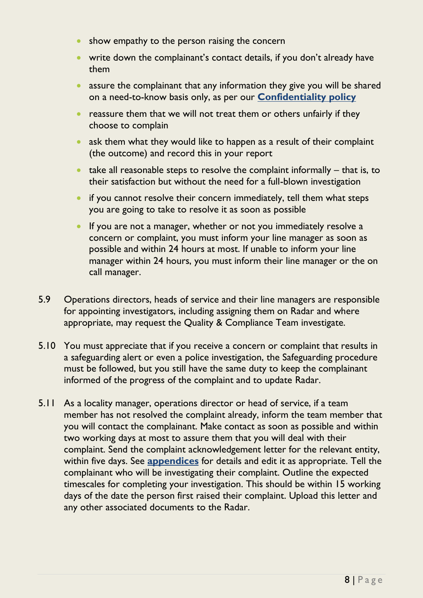- show empathy to the person raising the concern
- write down the complainant's contact details, if you don't already have them
- assure the complainant that any information they give you will be shared on a need-to-know basis only, as per our **[Confidentiality policy](https://dimensionsuklimited.sharepoint.com/:b:/r/sites/intranet/Shared%20Documents/_DTMS%20Document%20Library/Policies/Data%20handling%20and%20protection/Confidentiality/Confidentiality%20policy.pdf?csf=1&web=1&e=o7jdPO)**
- reassure them that we will not treat them or others unfairly if they choose to complain
- ask them what they would like to happen as a result of their complaint (the outcome) and record this in your report
- $\bullet$  take all reasonable steps to resolve the complaint informally that is, to their satisfaction but without the need for a full-blown investigation
- $\bullet$  if you cannot resolve their concern immediately, tell them what steps you are going to take to resolve it as soon as possible
- **If you are not a manager, whether or not you immediately resolve a** concern or complaint, you must inform your line manager as soon as possible and within 24 hours at most. If unable to inform your line manager within 24 hours, you must inform their line manager or the on call manager.
- 5.9 Operations directors, heads of service and their line managers are responsible for appointing investigators, including assigning them on Radar and where appropriate, may request the Quality & Compliance Team investigate.
- 5.10 You must appreciate that if you receive a concern or complaint that results in a safeguarding alert or even a police investigation, the Safeguarding procedure must be followed, but you still have the same duty to keep the complainant informed of the progress of the complaint and to update Radar.
- 5.11 As a locality manager, operations director or head of service, if a team member has not resolved the complaint already, inform the team member that you will contact the complainant. Make contact as soon as possible and within two working days at most to assure them that you will deal with their complaint. Send the complaint acknowledgement letter for the relevant entity, within five days. See **[appendices](#page-17-0)** for details and edit it as appropriate. Tell the complainant who will be investigating their complaint. Outline the expected timescales for completing your investigation. This should be within 15 working days of the date the person first raised their complaint. Upload this letter and any other associated documents to the Radar.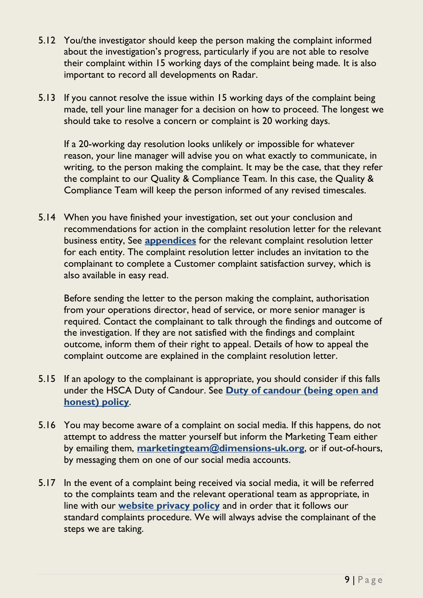- 5.12 You/the investigator should keep the person making the complaint informed about the investigation's progress, particularly if you are not able to resolve their complaint within 15 working days of the complaint being made. It is also important to record all developments on Radar.
- 5.13 If you cannot resolve the issue within 15 working days of the complaint being made, tell your line manager for a decision on how to proceed. The longest we should take to resolve a concern or complaint is 20 working days.

If a 20-working day resolution looks unlikely or impossible for whatever reason, your line manager will advise you on what exactly to communicate, in writing, to the person making the complaint. It may be the case, that they refer the complaint to our Quality & Compliance Team. In this case, the Quality & Compliance Team will keep the person informed of any revised timescales.

5.14 When you have finished your investigation, set out your conclusion and recommendations for action in the complaint resolution letter for the relevant business entity, See **[appendices](#page-17-0)** for the relevant complaint resolution letter for each entity. The complaint resolution letter includes an invitation to the complainant to complete a Customer complaint satisfaction survey, which is also available in easy read.

Before sending the letter to the person making the complaint, authorisation from your operations director, head of service, or more senior manager is required. Contact the complainant to talk through the findings and outcome of the investigation. If they are not satisfied with the findings and complaint outcome, inform them of their right to appeal. Details of how to appeal the complaint outcome are explained in the complaint resolution letter.

- 5.15 If an apology to the complainant is appropriate, you should consider if this falls under the HSCA Duty of Candour. See **Duty of candour [\(being open and](https://dimensionsuklimited.sharepoint.com/:b:/r/sites/intranet/Shared%20Documents/_DTMS%20Document%20Library/Policies/Processes%20for%20Operations/Duty%20of%20candour/Duty%20of%20candour%20(being%20open%20and%20honest)%20policy.pdf?csf=1&web=1&e=zJErhi)  [honest\)](https://dimensionsuklimited.sharepoint.com/:b:/r/sites/intranet/Shared%20Documents/_DTMS%20Document%20Library/Policies/Processes%20for%20Operations/Duty%20of%20candour/Duty%20of%20candour%20(being%20open%20and%20honest)%20policy.pdf?csf=1&web=1&e=zJErhi) policy**.
- 5.16 You may become aware of a complaint on social media. If this happens, do not attempt to address the matter yourself but inform the Marketing Team either by emailing them, **[marketingteam@dimensions-uk.org](mailto:marketingteam@dimensions-uk.org)**, or if out-of-hours, by messaging them on one of our social media accounts.
- 5.17 In the event of a complaint being received via social media, it will be referred to the complaints team and the relevant operational team as appropriate, in line with our **[website privacy policy](https://dimensions-uk.org/legal/website-privacy-policy/)** and in order that it follows our standard complaints procedure. We will always advise the complainant of the steps we are taking.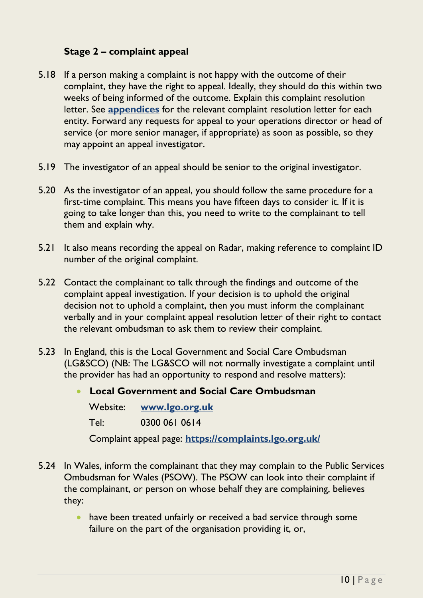#### **Stage 2 – complaint appeal**

- <span id="page-9-0"></span>5.18 If a person making a complaint is not happy with the outcome of their complaint, they have the right to appeal. Ideally, they should do this within two weeks of being informed of the outcome. Explain this complaint resolution letter. See **[appendices](#page-17-0)** for the relevant complaint resolution letter for each entity. Forward any requests for appeal to your operations director or head of service (or more senior manager, if appropriate) as soon as possible, so they may appoint an appeal investigator.
- 5.19 The investigator of an appeal should be senior to the original investigator.
- 5.20 As the investigator of an appeal, you should follow the same procedure for a first-time complaint. This means you have fifteen days to consider it. If it is going to take longer than this, you need to write to the complainant to tell them and explain why.
- 5.21 It also means recording the appeal on Radar, making reference to complaint ID number of the original complaint.
- 5.22 Contact the complainant to talk through the findings and outcome of the complaint appeal investigation. If your decision is to uphold the original decision not to uphold a complaint, then you must inform the complainant verbally and in your complaint appeal resolution letter of their right to contact the relevant ombudsman to ask them to review their complaint.
- 5.23 In England, this is the Local Government and Social Care Ombudsman (LG&SCO) (NB: The LG&SCO will not normally investigate a complaint until the provider has had an opportunity to respond and resolve matters):

 **Local Government and Social Care Ombudsman** Website: **[www.lgo.org.uk](http://www.lgo.org.uk/)** Tel: 0300 061 0614 Complaint appeal page: **<https://complaints.lgo.org.uk/>**

- 5.24 In Wales, inform the complainant that they may complain to the Public Services Ombudsman for Wales (PSOW). The PSOW can look into their complaint if the complainant, or person on whose behalf they are complaining, believes they:
	- have been treated unfairly or received a bad service through some failure on the part of the organisation providing it, or,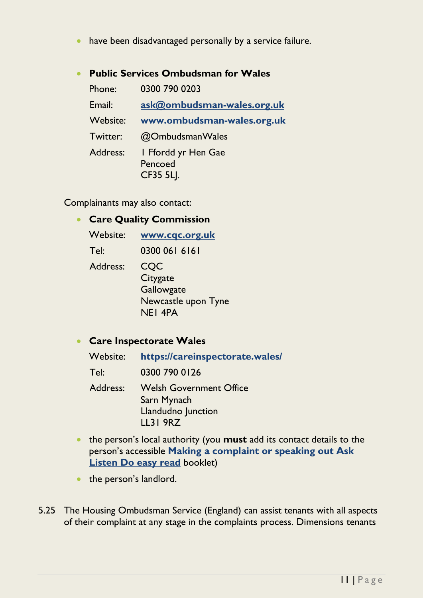have been disadvantaged personally by a service failure.

| <b>Public Services Ombudsman for Wales</b> |                                                    |  |
|--------------------------------------------|----------------------------------------------------|--|
| Phone:                                     | 0300 790 0203                                      |  |
| Email:                                     | ask@ombudsman-wales.org.uk                         |  |
| Website:                                   | www.ombudsman-wales.org.uk                         |  |
| Twitter:                                   | @OmbudsmanWales                                    |  |
| Address:                                   | I Ffordd yr Hen Gae<br>Pencoed<br><b>CF35 5LJ.</b> |  |

Complainants may also contact:

#### **Care Quality Commission**

| Website: | www.cqc.org.uk                                                         |
|----------|------------------------------------------------------------------------|
| Tel:     | 0300 061 6161                                                          |
| Address: | CQC<br>Citygate<br>Gallowgate<br>Newcastle upon Tyne<br><b>NEI 4PA</b> |

#### **Care Inspectorate Wales**

| Website: | https://careinspectorate.wales/                                                        |
|----------|----------------------------------------------------------------------------------------|
| Tel:     | 0300 790 0126                                                                          |
| Address: | <b>Welsh Government Office</b><br>Sarn Mynach<br>Llandudno Junction<br><b>LL31 9RZ</b> |

- the person's local authority (you **must** add its contact details to the person's accessible **[Making a complaint or speaking out Ask](https://dimensionsuklimited.sharepoint.com/:b:/r/sites/intranet/Shared%20Documents/_DTMS%20Document%20Library/Easy%20read/Making%20a%20complaint%20or%20speaking%20out%20Ask%20Listen%20Do%20easy%20read.pdf?csf=1&web=1&e=VLOWKk)  [Listen Do easy read](https://dimensionsuklimited.sharepoint.com/:b:/r/sites/intranet/Shared%20Documents/_DTMS%20Document%20Library/Easy%20read/Making%20a%20complaint%20or%20speaking%20out%20Ask%20Listen%20Do%20easy%20read.pdf?csf=1&web=1&e=VLOWKk)** booklet)
- the person's landlord.
- 5.25 The Housing Ombudsman Service (England) can assist tenants with all aspects of their complaint at any stage in the complaints process. Dimensions tenants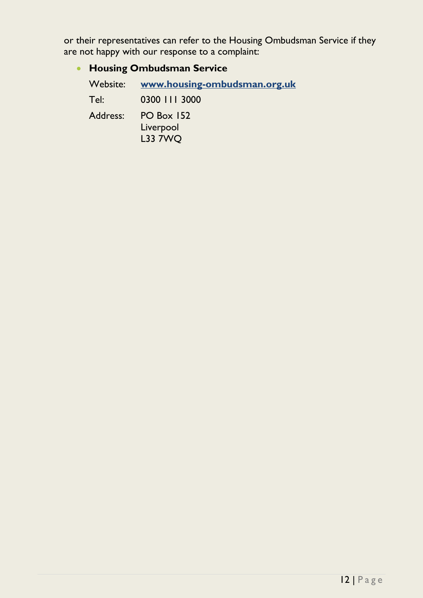or their representatives can refer to the Housing Ombudsman Service if they are not happy with our response to a complaint:

### **Housing Ombudsman Service**

| Website: | www.housing-ombudsman.org.uk                     |  |  |
|----------|--------------------------------------------------|--|--|
| Tel:     | 0300 111 3000                                    |  |  |
| Address: | <b>PO Box 152</b><br>Liverpool<br><b>L33 7WQ</b> |  |  |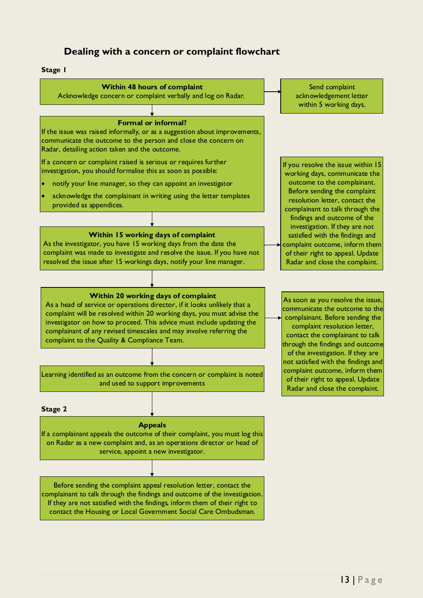#### **Dealing with a concern or complaint flowchart**

#### <span id="page-12-0"></span>**Stage 1**



contact the Housing or Local Government Social Care Ombudsman.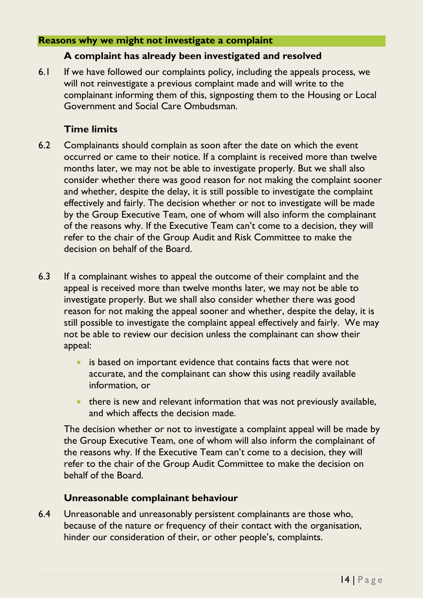#### <span id="page-13-0"></span>**Reasons why we might not investigate a complaint**

#### **A complaint has already been investigated and resolved**

6.1 If we have followed our complaints policy, including the appeals process, we will not reinvestigate a previous complaint made and will write to the complainant informing them of this, signposting them to the Housing or Local Government and Social Care Ombudsman.

#### **Time limits**

- 6.2 Complainants should complain as soon after the date on which the event occurred or came to their notice. If a complaint is received more than twelve months later, we may not be able to investigate properly. But we shall also consider whether there was good reason for not making the complaint sooner and whether, despite the delay, it is still possible to investigate the complaint effectively and fairly. The decision whether or not to investigate will be made by the Group Executive Team, one of whom will also inform the complainant of the reasons why. If the Executive Team can't come to a decision, they will refer to the chair of the Group Audit and Risk Committee to make the decision on behalf of the Board.
- 6.3 If a complainant wishes to appeal the outcome of their complaint and the appeal is received more than twelve months later, we may not be able to investigate properly. But we shall also consider whether there was good reason for not making the appeal sooner and whether, despite the delay, it is still possible to investigate the complaint appeal effectively and fairly. We may not be able to review our decision unless the complainant can show their appeal:
	- is based on important evidence that contains facts that were not accurate, and the complainant can show this using readily available information, or
	- there is new and relevant information that was not previously available, and which affects the decision made.

The decision whether or not to investigate a complaint appeal will be made by the Group Executive Team, one of whom will also inform the complainant of the reasons why. If the Executive Team can't come to a decision, they will refer to the chair of the Group Audit Committee to make the decision on behalf of the Board.

#### **Unreasonable complainant behaviour**

6.4 Unreasonable and unreasonably persistent complainants are those who, because of the nature or frequency of their contact with the organisation, hinder our consideration of their, or other people's, complaints.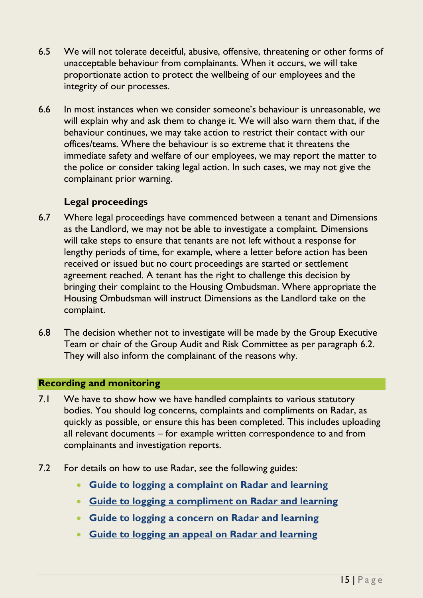- 6.5 We will not tolerate deceitful, abusive, offensive, threatening or other forms of unacceptable behaviour from complainants. When it occurs, we will take proportionate action to protect the wellbeing of our employees and the integrity of our processes.
- 6.6 In most instances when we consider someone's behaviour is unreasonable, we will explain why and ask them to change it. We will also warn them that, if the behaviour continues, we may take action to restrict their contact with our offices/teams. Where the behaviour is so extreme that it threatens the immediate safety and welfare of our employees, we may report the matter to the police or consider taking legal action. In such cases, we may not give the complainant prior warning.

#### **Legal proceedings**

- 6.7 Where legal proceedings have commenced between a tenant and Dimensions as the Landlord, we may not be able to investigate a complaint. Dimensions will take steps to ensure that tenants are not left without a response for lengthy periods of time, for example, where a letter before action has been received or issued but no court proceedings are started or settlement agreement reached. A tenant has the right to challenge this decision by bringing their complaint to the Housing Ombudsman. Where appropriate the Housing Ombudsman will instruct Dimensions as the Landlord take on the complaint.
- 6.8 The decision whether not to investigate will be made by the Group Executive Team or chair of the Group Audit and Risk Committee as per paragraph 6.2. They will also inform the complainant of the reasons why.

#### <span id="page-14-0"></span>**Recording and monitoring**

- 7.1 We have to show how we have handled complaints to various statutory bodies. You should log concerns, complaints and compliments on Radar, as quickly as possible, or ensure this has been completed. This includes uploading all relevant documents – for example written correspondence to and from complainants and investigation reports.
- 7.2 For details on how to use Radar, see the following guides:
	- **[Guide to logging a complaint on Radar and learning](https://dimensionsuklimited.sharepoint.com/:b:/r/sites/intranet/Shared%20Documents/_DTMS%20Document%20Library/IT/RADAR/Guide%20to%20logging%20a%20complaint%20on%20Radar%20and%20learning.pdf?csf=1&web=1&e=Ihh5MI)**
	- **[Guide to logging a compliment on Radar and learning](https://dimensionsuklimited.sharepoint.com/:b:/r/sites/intranet/Shared%20Documents/_DTMS%20Document%20Library/IT/RADAR/Guide%20to%20logging%20a%20compliment%20on%20Radar%20and%20learning.pdf?csf=1&web=1&e=BkVzUw)**
	- **[Guide to logging a concern on Radar and learning](https://dimensionsuklimited.sharepoint.com/:b:/r/sites/intranet/Shared%20Documents/_DTMS%20Document%20Library/IT/RADAR/Guide%20to%20logging%20a%20concern%20on%20Radar%20and%20learning.pdf?csf=1&web=1&e=d6v4o7)**
	- **[Guide to logging an appeal on Radar and learning](https://dimensionsuklimited.sharepoint.com/:b:/r/sites/intranet/Shared%20Documents/_DTMS%20Document%20Library/IT/RADAR/Guide%20to%20logging%20an%20appeal%20on%20Radar%20and%20learning.pdf?csf=1&web=1&e=kMuCgk)**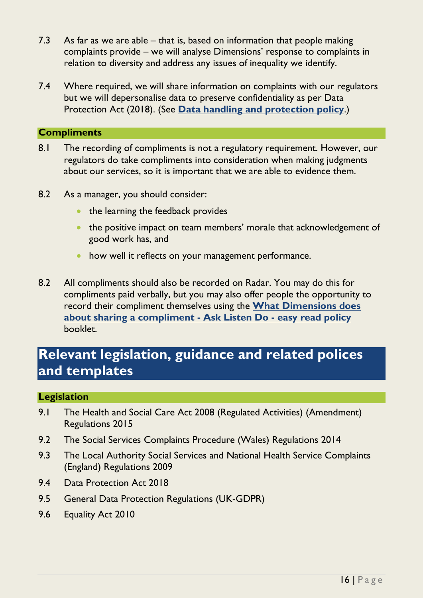- 7.3 As far as we are able that is, based on information that people making complaints provide – we will analyse Dimensions' response to complaints in relation to diversity and address any issues of inequality we identify.
- 7.4 Where required, we will share information on complaints with our regulators but we will depersonalise data to preserve confidentiality as per Data Protection Act (2018). (See **[Data handling and](https://dimensionsuklimited.sharepoint.com/:b:/r/sites/intranet/Shared%20Documents/_DTMS%20Document%20Library/Policies/Data%20handling%20and%20protection/Data%20handling%20and%20protection/Data%20handling%20and%20protection%20policy.pdf?csf=1&web=1&e=R7DRzp) protection policy**.)

#### <span id="page-15-0"></span>**Compliments**

- 8.1 The recording of compliments is not a regulatory requirement. However, our regulators do take compliments into consideration when making judgments about our services, so it is important that we are able to evidence them.
- 8.2 As a manager, you should consider:
	- the learning the feedback provides
	- the positive impact on team members' morale that acknowledgement of good work has, and
	- how well it reflects on your management performance.
- 8.2 All compliments should also be recorded on Radar. You may do this for compliments paid verbally, but you may also offer people the opportunity to record their compliment themselves using the **[What Dimensions does](https://dimensionsuklimited.sharepoint.com/:b:/r/sites/intranet/Shared%20Documents/_DTMS%20Document%20Library/Policies/Communication,%20marketing%20and%20engagement/Concerns,%20complaints%20and%20compliments/What%20Dimensions%20does%20about%20sharing%20a%20compliment%20-%20Ask%20Listen%20Do%20-%20easy%20read%20policy.pdf?csf=1&web=1&e=KsqBON)  [about sharing a compliment -](https://dimensionsuklimited.sharepoint.com/:b:/r/sites/intranet/Shared%20Documents/_DTMS%20Document%20Library/Policies/Communication,%20marketing%20and%20engagement/Concerns,%20complaints%20and%20compliments/What%20Dimensions%20does%20about%20sharing%20a%20compliment%20-%20Ask%20Listen%20Do%20-%20easy%20read%20policy.pdf?csf=1&web=1&e=KsqBON) Ask Listen Do - easy read policy** booklet.

# **Relevant legislation, guidance and related polices and templates**

#### **Legislation**

- 9.1 The Health and Social Care Act 2008 (Regulated Activities) (Amendment) Regulations 2015
- 9.2 The Social Services Complaints Procedure (Wales) Regulations 2014
- 9.3 The Local Authority Social Services and National Health Service Complaints (England) Regulations 2009
- 9.4 Data Protection Act 2018
- 9.5 General Data Protection Regulations (UK-GDPR)
- 9.6 Equality Act 2010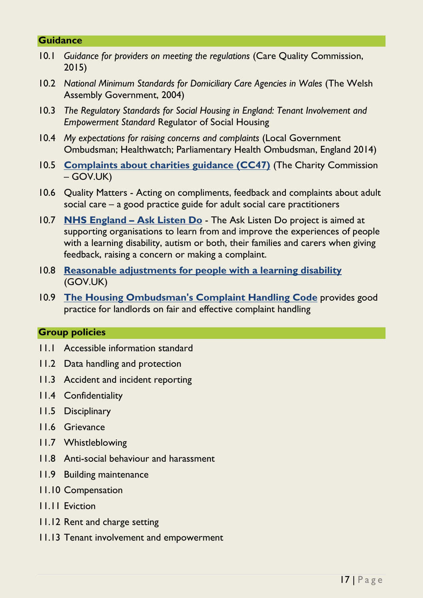#### **Guidance**

- 10.1 *Guidance for providers on meeting the regulations* (Care Quality Commission, 2015)
- 10.2 *National Minimum Standards for Domiciliary Care Agencies in Wales* (The Welsh Assembly Government, 2004)
- 10.3 *The Regulatory Standards for Social Housing in England: Tenant Involvement and Empowerment Standard* Regulator of Social Housing
- 10.4 *My expectations for raising concerns and complaints* (Local Government Ombudsman; Healthwatch; Parliamentary Health Ombudsman, England 2014)
- 10.5 **[Complaints about charities guidance \(CC47\)](https://www.gov.uk/government/publications/complaints-about-charities/complaints-about-charities)** (The Charity Commission – GOV.UK)
- 10.6 Quality Matters Acting on compliments, feedback and complaints about adult social care – a good practice guide for adult social care practitioners
- 10.7 **[NHS England](https://www.england.nhs.uk/learning-disabilities/about/ask-listen-do/) – Ask Listen Do** The Ask Listen Do project is aimed at supporting organisations to learn from and improve the experiences of people with a learning disability, autism or both, their families and carers when giving feedback, raising a concern or making a complaint.
- 10.8 **Reasonable adjustments [for people with a learning disability](https://www.gov.uk/government/collections/reasonable-adjustments-for-people-with-a-learning-disability)** (GOV.UK)
- 10.9 **[The Housing Ombudsman's Complaint Handling Code](https://www.housing-ombudsman.org.uk/wp-content/uploads/2020/11/Complaint-Handling-Code.pdf)** provides good practice for landlords on fair and effective complaint handling

#### **Group policies**

- 11.1 Accessible information standard
- 11.2 Data handling and protection
- 11.3 Accident and incident reporting
- 11.4 Confidentiality
- 11.5 Disciplinary
- 11.6 Grievance
- 11.7 Whistleblowing
- 11.8 Anti-social behaviour and harassment
- 11.9 Building maintenance
- 11.10 Compensation
- 11.11 Eviction
- 11.12 Rent and charge setting
- 11.13 Tenant involvement and empowerment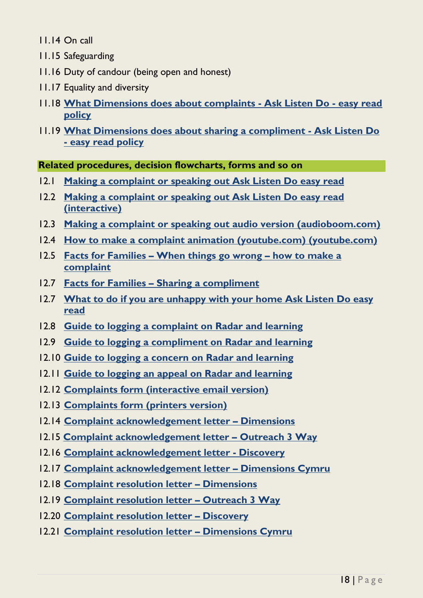11.14 On call

- 11.15 Safeguarding
- 11.16 Duty of candour (being open and honest)
- 11.17 Equality and diversity
- 11.18 **[What Dimensions does about complaints -](https://dimensionsuklimited.sharepoint.com/:b:/r/sites/intranet/Shared%20Documents/_DTMS%20Document%20Library/Policies/Communication,%20marketing%20and%20engagement/Concerns,%20complaints%20and%20compliments/What%20Dimensions%20does%20about%20complaints%20-%20Ask%20Listen%20Do%20-%20easy%20read%20policy.pdf?csf=1&web=1&e=nAqOnt) Ask Listen Do - easy read [policy](https://dimensionsuklimited.sharepoint.com/:b:/r/sites/intranet/Shared%20Documents/_DTMS%20Document%20Library/Policies/Communication,%20marketing%20and%20engagement/Concerns,%20complaints%20and%20compliments/What%20Dimensions%20does%20about%20complaints%20-%20Ask%20Listen%20Do%20-%20easy%20read%20policy.pdf?csf=1&web=1&e=nAqOnt)**
- 11.19 **[What Dimensions does about sharing a compliment -](https://dimensionsuklimited.sharepoint.com/:b:/r/sites/intranet/Shared%20Documents/_DTMS%20Document%20Library/Policies/Communication,%20marketing%20and%20engagement/Concerns,%20complaints%20and%20compliments/What%20Dimensions%20does%20about%20sharing%20a%20compliment%20-%20Ask%20Listen%20Do%20-%20easy%20read%20policy.pdf?csf=1&web=1&e=zy0q2o) Ask Listen Do - [easy read policy](https://dimensionsuklimited.sharepoint.com/:b:/r/sites/intranet/Shared%20Documents/_DTMS%20Document%20Library/Policies/Communication,%20marketing%20and%20engagement/Concerns,%20complaints%20and%20compliments/What%20Dimensions%20does%20about%20sharing%20a%20compliment%20-%20Ask%20Listen%20Do%20-%20easy%20read%20policy.pdf?csf=1&web=1&e=zy0q2o)**

<span id="page-17-0"></span>**Related procedures, decision flowcharts, forms and so on**

- 12.1 **[Making a complaint or speaking out Ask Listen Do easy read](https://dimensionsuklimited.sharepoint.com/:b:/r/sites/intranet/Shared%20Documents/_DTMS%20Document%20Library/Easy%20read/Making%20a%20complaint%20or%20speaking%20out%20Ask%20Listen%20Do%20easy%20read.pdf?csf=1&web=1&e=FGk2qF)**
- 12.2 **[Making a complaint or speaking out Ask Listen Do easy read](https://dimensionsuklimited.sharepoint.com/:b:/r/sites/intranet/Shared%20Documents/_DTMS%20Document%20Library/Easy%20read/Making%20a%20complaint%20or%20speaking%20out%20Ask%20Listen%20Do%20easy%20read%20(interactive).pdf?csf=1&web=1&e=B9FKpf)  [\(interactive\)](https://dimensionsuklimited.sharepoint.com/:b:/r/sites/intranet/Shared%20Documents/_DTMS%20Document%20Library/Easy%20read/Making%20a%20complaint%20or%20speaking%20out%20Ask%20Listen%20Do%20easy%20read%20(interactive).pdf?csf=1&web=1&e=B9FKpf)**
- 12.3 **[Making a complaint or speaking out audio version](https://audioboom.com/posts/7853856-making-a-complaint-or-speaking-out) (audioboom.com)**
- 12.4 **[How to make a complaint animation \(youtube.com\)](https://www.youtube.com/watch?v=vt9DTgFEBUY) (youtube.com)**
- 12.5 **Facts for Families – [When things go wrong](https://dimensions-uk.org/wp-content/uploads/Facts-for-Families-When-things-go-wrong-how-to-make-a-complaint.pdf) – how to make a [complaint](https://dimensions-uk.org/wp-content/uploads/Facts-for-Families-When-things-go-wrong-how-to-make-a-complaint.pdf)**
- 12.7 **Facts for Families – [Sharing a compliment](https://dimensions-uk.org/wp-content/uploads/Facts-for-Families-Sharing-a-compliment.pdf)**
- 12.7 **[What to do if you are unhappy with your home Ask Listen Do easy](https://dimensionsuklimited.sharepoint.com/:b:/r/sites/intranet/Shared%20Documents/_DTMS%20Document%20Library/Easy%20read/What%20to%20do%20if%20you%20are%20unhappy%20with%20your%20home%20Ask%20Listen%20Do%20easy%20read.pdf?csf=1&web=1&e=w5KsAe)  [read](https://dimensionsuklimited.sharepoint.com/:b:/r/sites/intranet/Shared%20Documents/_DTMS%20Document%20Library/Easy%20read/What%20to%20do%20if%20you%20are%20unhappy%20with%20your%20home%20Ask%20Listen%20Do%20easy%20read.pdf?csf=1&web=1&e=w5KsAe)**
- 12.8 **[Guide to logging a complaint on Radar and learning](https://dimensionsuklimited.sharepoint.com/:b:/r/sites/intranet/Shared%20Documents/_DTMS%20Document%20Library/IT/RADAR/Guide%20to%20logging%20a%20complaint%20on%20Radar%20and%20learning.pdf?csf=1&web=1&e=Ihh5MI)**
- 12.9 **[Guide to logging a compliment on Radar and learning](https://dimensionsuklimited.sharepoint.com/:b:/r/sites/intranet/Shared%20Documents/_DTMS%20Document%20Library/IT/RADAR/Guide%20to%20logging%20a%20compliment%20on%20Radar%20and%20learning.pdf?csf=1&web=1&e=BkVzUw)**
- 12.10 **[Guide to logging a concern on Radar and learning](https://dimensionsuklimited.sharepoint.com/:b:/r/sites/intranet/Shared%20Documents/_DTMS%20Document%20Library/IT/RADAR/Guide%20to%20logging%20a%20concern%20on%20Radar%20and%20learning.pdf?csf=1&web=1&e=d6v4o7)**
- 12.11 **[Guide to logging an appeal on Radar and learning](https://dimensionsuklimited.sharepoint.com/:b:/r/sites/intranet/Shared%20Documents/_DTMS%20Document%20Library/IT/RADAR/Guide%20to%20logging%20an%20appeal%20on%20Radar%20and%20learning.pdf?csf=1&web=1&e=kMuCgk)**
- 12.12 **[Complaints form \(interactive email version\)](https://dimensionsuklimited.sharepoint.com/:b:/r/sites/intranet/Shared%20Documents/_DTMS%20Document%20Library/Policies/Communication,%20marketing%20and%20engagement/Concerns,%20complaints%20and%20compliments/Supporting%20documents/Concerns,%20complaints%20and%20compliments%20-%20Dimensions%20complaints%20form%20(interactive%20email%20version).pdf?csf=1&web=1&e=ziPgho)**
- 12.13 **[Complaints form \(printers version\)](https://dimensionsuklimited.sharepoint.com/:b:/r/sites/intranet/Shared%20Documents/_DTMS%20Document%20Library/Policies/Communication,%20marketing%20and%20engagement/Concerns,%20complaints%20and%20compliments/Supporting%20documents/Concerns,%20complaints%20and%20compliments%20-%20Dimensions%20complaints%20form%20(printers%20version).pdf?csf=1&web=1&e=AXh773)**
- 12.14 **[Complaint acknowledgement letter](https://dimensionsuklimited.sharepoint.com/:w:/r/sites/intranet/Shared%20Documents/_DTMS%20Document%20Library/Policies/Communication,%20marketing%20and%20engagement/Concerns,%20complaints%20and%20compliments/Supporting%20documents/Concerns,%20complaints%20and%20compliments%20-%20Complaint%20Acknowledgement%20Letter%20-%20Dimensions.docx?d=wea2266b1377f49bab4a6f74c0a889c6c&csf=1&web=1&e=cL4VrB) – Dimensions**
- 12.15 **[Complaint acknowledgement letter](https://dimensionsuklimited.sharepoint.com/:w:/r/sites/intranet/Shared%20Documents/_DTMS%20Document%20Library/Policies/Communication,%20marketing%20and%20engagement/Concerns,%20complaints%20and%20compliments/Supporting%20documents/Concerns,%20complaints%20and%20compliments%20-%20Complaint%20Acknowledgement%20Letter%20-%20O3W.docx?d=w67fedfdc56d54959992976f7d0d10fdc&csf=1&web=1&e=ucyXM3) – Outreach 3 Way**
- 12.16 **[Complaint acknowledgement letter -](https://dimensionsuklimited.sharepoint.com/:w:/r/sites/intranet/Shared%20Documents/_DTMS%20Document%20Library/Policies/Communication,%20marketing%20and%20engagement/Concerns,%20complaints%20and%20compliments/Supporting%20documents/Concerns,%20complaints%20and%20compliments%20-%20Complaint%20Acknowledgement%20Letter%20-%20Discovery.docx?d=wc697c88b9ea0485d9c5caedf7bf5e8e3&csf=1&web=1&e=ZTCWhv) Discovery**
- 12.17 **[Complaint acknowledgement letter](https://dimensionsuklimited.sharepoint.com/:w:/r/sites/intranet/Shared%20Documents/_DTMS%20Document%20Library/Policies/Communication,%20marketing%20and%20engagement/Concerns,%20complaints%20and%20compliments/Supporting%20documents/Concerns,%20complaints%20and%20compliments%20-%20Complaint%20Acknowledgement%20Letter%20-%20Dimensions%20Cymru.docx?d=w5143920756464a348ad43c7211321974&csf=1&web=1&e=rT92H7) – Dimensions Cymru**
- 12.18 **[Complaint resolution letter](https://dimensionsuklimited.sharepoint.com/:w:/r/sites/intranet/Shared%20Documents/_DTMS%20Document%20Library/Policies/Communication,%20marketing%20and%20engagement/Concerns,%20complaints%20and%20compliments/Supporting%20documents/Concerns,%20complaints%20and%20compliments%20-%20Complaint%20Resolution%20Letter%20-%20Dimensions.docx?d=wf1f7899a43864a489817050be6d2a6f3&csf=1&web=1&e=BgM5EE) – Dimensions**
- 12.19 **[Complaint resolution letter](https://dimensionsuklimited.sharepoint.com/:w:/r/sites/intranet/Shared%20Documents/_DTMS%20Document%20Library/Policies/Communication,%20marketing%20and%20engagement/Concerns,%20complaints%20and%20compliments/Supporting%20documents/Concerns,%20complaints%20and%20compliments%20-%20Complaint%20Resolution%20Letter%20-%20O3W.docx?d=wdd4b6d050f1e4dd192aaf4f83974f7a8&csf=1&web=1&e=PoKUM1) – Outreach 3 Way**
- 12.20 **[Complaint resolution letter](https://dimensionsuklimited.sharepoint.com/:w:/r/sites/intranet/Shared%20Documents/_DTMS%20Document%20Library/Policies/Communication,%20marketing%20and%20engagement/Concerns,%20complaints%20and%20compliments/Supporting%20documents/Concerns,%20complaints%20and%20compliments%20-%20Complaint%20Resolution%20Letter%20-%20Discovery.docx?d=w4fd36d793db84c8f9640eb7303fb4596&csf=1&web=1&e=CUD3Cp) – Discovery**
- 12.21 **[Complaint resolution letter](https://dimensionsuklimited.sharepoint.com/:w:/r/sites/intranet/Shared%20Documents/_DTMS%20Document%20Library/Policies/Communication,%20marketing%20and%20engagement/Concerns,%20complaints%20and%20compliments/Supporting%20documents/Concerns,%20complaints%20and%20compliments%20-%20Complaint%20Resolution%20Letter%20-%20Dimensions%20Cymru.docx?d=w50d5c78faf414f7b90d2c3b5435a7834&csf=1&web=1&e=p8lPOH) – Dimensions Cymru**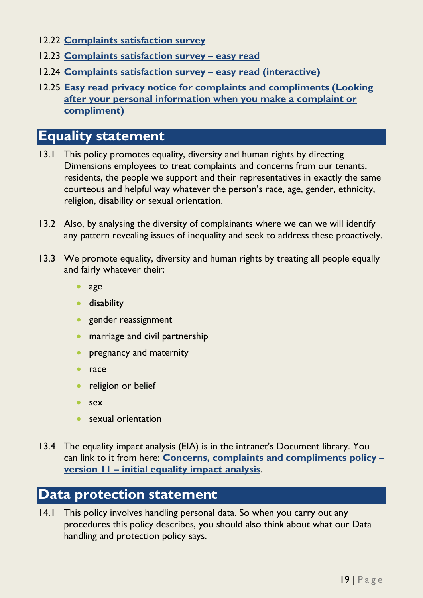- 12.22 **[Complaints satisfaction survey](https://complaintfeedback.survey.fm/dimensions-complaints-feedback)**
- 12.23 **[Complaints satisfaction survey](https://dimensionsuklimited.sharepoint.com/:b:/r/sites/intranet/Shared%20Documents/_DTMS%20Document%20Library/Easy%20read/Complaints%20satisfaction%20survey%20easy%20read.pdf?csf=1&web=1&e=m7QoUD) – easy read**
- 12.24 **[Complaints satisfaction survey](https://dimensionsuklimited.sharepoint.com/:b:/r/sites/intranet/Shared%20Documents/_DTMS%20Document%20Library/Easy%20read/Complaints%20satisfaction%20survey%20easy%20read%20(interactive).pdf?csf=1&web=1&e=l6JZsS) – easy read (interactive)**
- 12.25 **[Easy read privacy notice for complaints and compliments \(Looking](https://dimensionsuklimited.sharepoint.com/:b:/r/sites/intranet/Shared%20Documents/_DTMS%20Document%20Library/Easy%20read/Looking%20after%20your%20information%20(complaints%20and%20compliments)%20easy%20read.pdf?csf=1&web=1&e=r7WWUO)  [after your personal information when you make a complaint or](https://dimensionsuklimited.sharepoint.com/:b:/r/sites/intranet/Shared%20Documents/_DTMS%20Document%20Library/Easy%20read/Looking%20after%20your%20information%20(complaints%20and%20compliments)%20easy%20read.pdf?csf=1&web=1&e=r7WWUO)  [compliment\)](https://dimensionsuklimited.sharepoint.com/:b:/r/sites/intranet/Shared%20Documents/_DTMS%20Document%20Library/Easy%20read/Looking%20after%20your%20information%20(complaints%20and%20compliments)%20easy%20read.pdf?csf=1&web=1&e=r7WWUO)**

## **Equality statement**

- 13.1 This policy promotes equality, diversity and human rights by directing Dimensions employees to treat complaints and concerns from our tenants, residents, the people we support and their representatives in exactly the same courteous and helpful way whatever the person's race, age, gender, ethnicity, religion, disability or sexual orientation.
- 13.2 Also, by analysing the diversity of complainants where we can we will identify any pattern revealing issues of inequality and seek to address these proactively.
- 13.3 We promote equality, diversity and human rights by treating all people equally and fairly whatever their:
	- age
	- **•** disability
	- **•** gender reassignment
	- marriage and civil partnership
	- **•** pregnancy and maternity
	- race
	- religion or belief
	- sex
	- sexual orientation
- 13.4 The equality impact analysis (EIA) is in the intranet's Document library. You can link to it from here: **[Concerns, complaints and](https://dimensionsuklimited.sharepoint.com/:b:/r/sites/intranet/Shared%20Documents/_DTMS%20Document%20Library/Policies/Communication,%20marketing%20and%20engagement/Concerns,%20complaints%20and%20compliments/Supporting%20documents/Concerns%20complaints%20and%20compliments%20policy%20-%20version%2011%20-%20Initial%20equality%20impact%20analysis.pdf?csf=1&web=1&e=HXLcEB) compliments policy – version 11 – [initial equality impact analysis](https://dimensionsuklimited.sharepoint.com/:b:/r/sites/intranet/Shared%20Documents/_DTMS%20Document%20Library/Policies/Communication,%20marketing%20and%20engagement/Concerns,%20complaints%20and%20compliments/Supporting%20documents/Concerns%20complaints%20and%20compliments%20policy%20-%20version%2011%20-%20Initial%20equality%20impact%20analysis.pdf?csf=1&web=1&e=HXLcEB)**.

# **Data protection statement**

14.1 This policy involves handling personal data. So when you carry out any procedures this policy describes, you should also think about what our Data handling and protection policy says.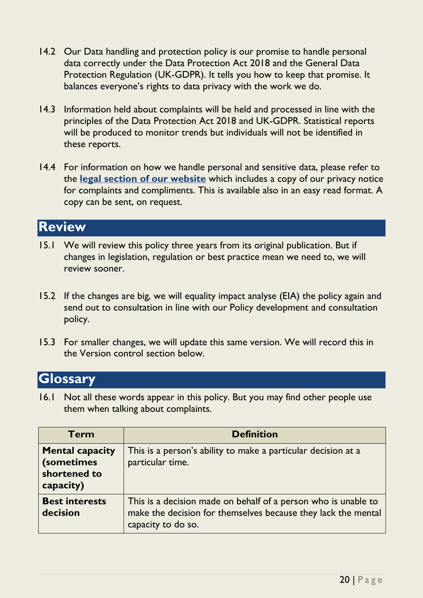- 14.2 Our Data handling and protection policy is our promise to handle personal data correctly under the Data Protection Act 2018 and the General Data Protection Regulation (UK-GDPR). It tells you how to keep that promise. It balances everyone's rights to data privacy with the work we do.
- 14.3 Information held about complaints will be held and processed in line with the principles of the Data Protection Act 2018 and UK-GDPR. Statistical reports will be produced to monitor trends but individuals will not be identified in these reports.
- 14.4 For information on how we handle personal and sensitive data, please refer to the **[legal section of our website](https://dimensions-uk.org/legal/website-privacy-policy/)** which includes a copy of our privacy notice for complaints and compliments. This is available also in an easy read format. A copy can be sent, on request.

### **Review**

- 15.1 We will review this policy three years from its original publication. But if changes in legislation, regulation or best practice mean we need to, we will review sooner.
- 15.2 If the changes are big, we will equality impact analyse (EIA) the policy again and send out to consultation in line with our Policy development and consultation policy.
- 15.3 For smaller changes, we will update this same version. We will record this in the Version control section below.

### **Glossary**

16.1 Not all these words appear in this policy. But you may find other people use them when talking about complaints.

| <b>Term</b>                                                       | <b>Definition</b>                                                                                                                                     |  |
|-------------------------------------------------------------------|-------------------------------------------------------------------------------------------------------------------------------------------------------|--|
| <b>Mental capacity</b><br>(sometimes<br>shortened to<br>capacity) | This is a person's ability to make a particular decision at a<br>particular time.                                                                     |  |
| <b>Best interests</b><br>decision                                 | This is a decision made on behalf of a person who is unable to<br>make the decision for themselves because they lack the mental<br>capacity to do so. |  |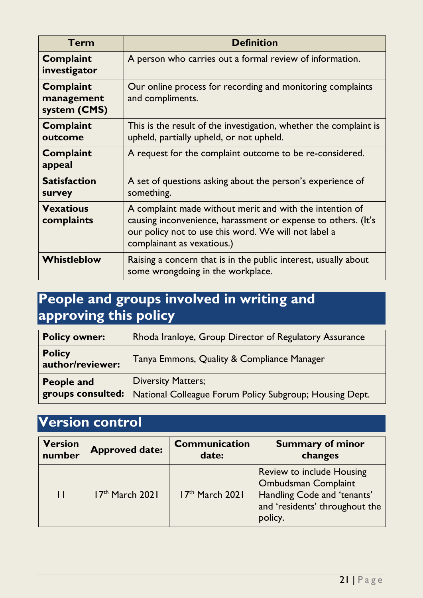| Term                                           | <b>Definition</b>                                                                                                                                                                                               |  |
|------------------------------------------------|-----------------------------------------------------------------------------------------------------------------------------------------------------------------------------------------------------------------|--|
| <b>Complaint</b><br>investigator               | A person who carries out a formal review of information.                                                                                                                                                        |  |
| <b>Complaint</b><br>management<br>system (CMS) | Our online process for recording and monitoring complaints<br>and compliments.                                                                                                                                  |  |
| <b>Complaint</b><br>outcome                    | This is the result of the investigation, whether the complaint is<br>upheld, partially upheld, or not upheld.                                                                                                   |  |
| <b>Complaint</b><br>appeal                     | A request for the complaint outcome to be re-considered.                                                                                                                                                        |  |
| <b>Satisfaction</b><br>survey                  | A set of questions asking about the person's experience of<br>something.                                                                                                                                        |  |
| <b>Vexatious</b><br>complaints                 | A complaint made without merit and with the intention of<br>causing inconvenience, harassment or expense to others. (It's<br>our policy not to use this word. We will not label a<br>complainant as vexatious.) |  |
| Whistleblow                                    | Raising a concern that is in the public interest, usually about<br>some wrongdoing in the workplace.                                                                                                            |  |

# **People and groups involved in writing and approving this policy**

| <b>Policy owner:</b>              | Rhoda Iranloye, Group Director of Regulatory Assurance                               |  |  |
|-----------------------------------|--------------------------------------------------------------------------------------|--|--|
| <b>Policy</b><br>author/reviewer: | Tanya Emmons, Quality & Compliance Manager                                           |  |  |
| People and<br>groups consulted:   | <b>Diversity Matters;</b><br>National Colleague Forum Policy Subgroup; Housing Dept. |  |  |

# **Version control**

| <b>Version</b> | <b>Approved date:</b> | <b>Communication</b> | <b>Summary of minor</b>                                                                                                                    |
|----------------|-----------------------|----------------------|--------------------------------------------------------------------------------------------------------------------------------------------|
| number         |                       | date:                | changes                                                                                                                                    |
| $\mathbf{1}$   | 17th March 2021       | 17th March 2021      | <b>Review to include Housing</b><br><b>Ombudsman Complaint</b><br>Handling Code and 'tenants'<br>and 'residents' throughout the<br>policy. |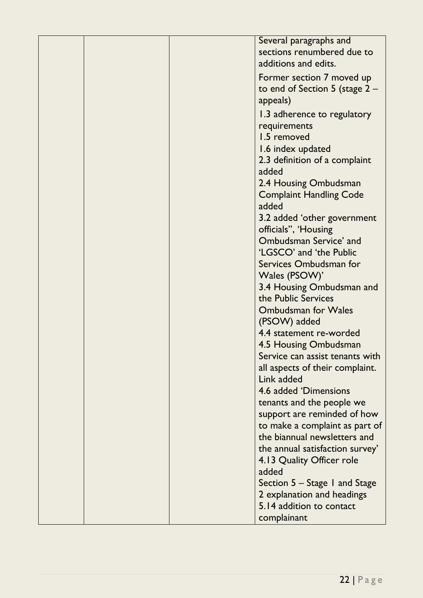| Several paragraphs and           |
|----------------------------------|
| sections renumbered due to       |
|                                  |
| additions and edits.             |
| Former section 7 moved up        |
| to end of Section 5 (stage $2 -$ |
| appeals)                         |
| 1.3 adherence to regulatory      |
| requirements                     |
| 1.5 removed                      |
| 1.6 index updated                |
| 2.3 definition of a complaint    |
| added                            |
| 2.4 Housing Ombudsman            |
| <b>Complaint Handling Code</b>   |
| added                            |
| 3.2 added 'other government      |
| officials", 'Housing             |
| Ombudsman Service' and           |
| 'LGSCO' and 'the Public          |
|                                  |
| Services Ombudsman for           |
| Wales (PSOW)'                    |
| 3.4 Housing Ombudsman and        |
| the Public Services              |
| <b>Ombudsman for Wales</b>       |
| (PSOW) added                     |
| 4.4 statement re-worded          |
| 4.5 Housing Ombudsman            |
| Service can assist tenants with  |
| all aspects of their complaint.  |
| Link added                       |
| 4.6 added 'Dimensions            |
| tenants and the people we        |
| support are reminded of how      |
| to make a complaint as part of   |
| the biannual newsletters and     |
| the annual satisfaction survey'  |
| 4.13 Quality Officer role        |
| added                            |
| Section $5 -$ Stage 1 and Stage  |
| 2 explanation and headings       |
| 5.14 addition to contact         |
| complainant                      |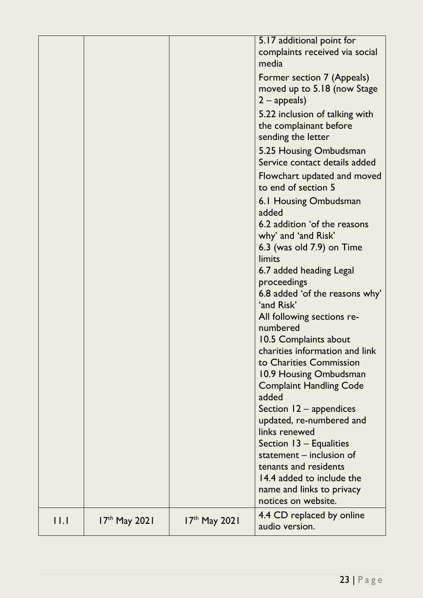|             |                 |                 | 5.17 additional point for<br>complaints received via social<br>media<br>Former section 7 (Appeals)<br>moved up to 5.18 (now Stage<br>$2$ – appeals)<br>5.22 inclusion of talking with<br>the complainant before<br>sending the letter<br>5.25 Housing Ombudsman<br>Service contact details added<br>Flowchart updated and moved<br>to end of section 5<br>6.1 Housing Ombudsman<br>added<br>6.2 addition 'of the reasons<br>why' and 'and Risk'<br>6.3 (was old $7.9$ ) on Time<br>limits<br>6.7 added heading Legal<br>proceedings<br>6.8 added 'of the reasons why'<br>'and Risk'<br>All following sections re-<br>numbered<br>10.5 Complaints about<br>charities information and link<br>to Charities Commission<br>10.9 Housing Ombudsman<br><b>Complaint Handling Code</b><br>added<br>Section $12 -$ appendices<br>updated, re-numbered and<br>links renewed<br>Section 13 – Equalities<br>statement - inclusion of<br>tenants and residents<br>14.4 added to include the<br>name and links to privacy<br>notices on website. |
|-------------|-----------------|-----------------|-------------------------------------------------------------------------------------------------------------------------------------------------------------------------------------------------------------------------------------------------------------------------------------------------------------------------------------------------------------------------------------------------------------------------------------------------------------------------------------------------------------------------------------------------------------------------------------------------------------------------------------------------------------------------------------------------------------------------------------------------------------------------------------------------------------------------------------------------------------------------------------------------------------------------------------------------------------------------------------------------------------------------------------|
| $  \cdot  $ | $17th$ May 2021 | $17th$ May 2021 | 4.4 CD replaced by online<br>audio version.                                                                                                                                                                                                                                                                                                                                                                                                                                                                                                                                                                                                                                                                                                                                                                                                                                                                                                                                                                                         |